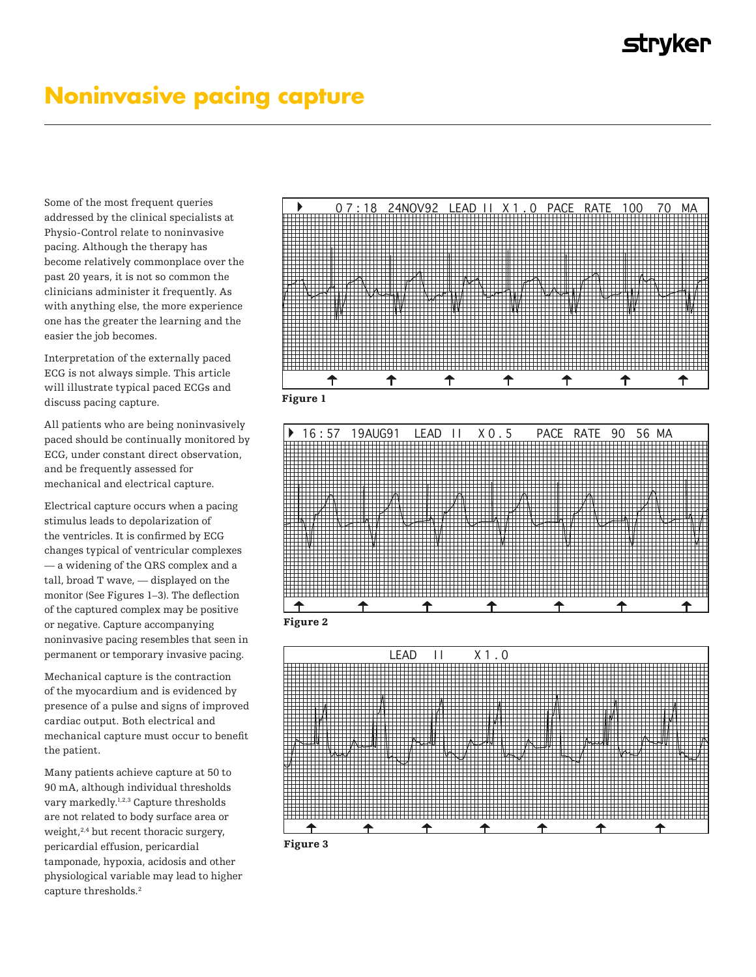## **Noninvasive pacing capture**

Some of the most frequent queries addressed by the clinical specialists at Physio-Control relate to noninvasive pacing. Although the therapy has become relatively commonplace over the past 20 years, it is not so common the clinicians administer it frequently. As with anything else, the more experience one has the greater the learning and the easier the job becomes. Interpretation of the external lying paced ECG is a state of the external lying paced ECG is a state of the external

Interpretation of the externally paced  $\mathop{\hbox{\rm ECG}}$  is not always simple. This article will illustrate typical paced ECGs and  $\,$ discuss pacing capture.

All patients who are being noninvasively All patients who are being noninvasively paced should be continually monitored by paced should be continually monitored by paced should be continually momentumly  $EGG$ , under constant direct observation, and be frequently assessed for mechanical and electrical capture. electrical capture.  $\frac{1}{2}$ be frequently assessed for mechanical and mechanical and mechanical and mechanical and mechanical and mechanical and mechanical and mechanical and mechanical and mechanical and mechanical and mechanical and mecha

Electrical capture occurs when a pacing Electrical capture occurs when a pacing stimulus leads to depolarization of the ventricles. It is confirmed by ECG changes typical of ventricular complexes  $-$  a widening of the QRS complex and a tall, broad T wave, — displayed on the monitor (See Figures 1–3). The deflection of the captured complex may be positive or negative. Capture accompanying noninvasive pacing resembles that seen in permanent or temporary invasive pacing. pacing.

Mechanical capture is the contraction of the myocardium and is evidenced by presence of a pulse and signs of improved<br>cardiac output. Both electrical and cardiac output. Both electrical and mechanical capture must occur to benefit the patient. Many patients achieve capture at 50 to

Many patients achieve capture at 50 to 90 mA, although individual thresholds vary markedly. $^{1,2,3}$  Capture thresholds are not related to body surface area or weight, $2,4$  but recent thoracic surgery, pericardial effusion, pericardial tamponade, hypoxia, acidosis and other physiological variable may lead to higher capture thresholds.<sup>2</sup>